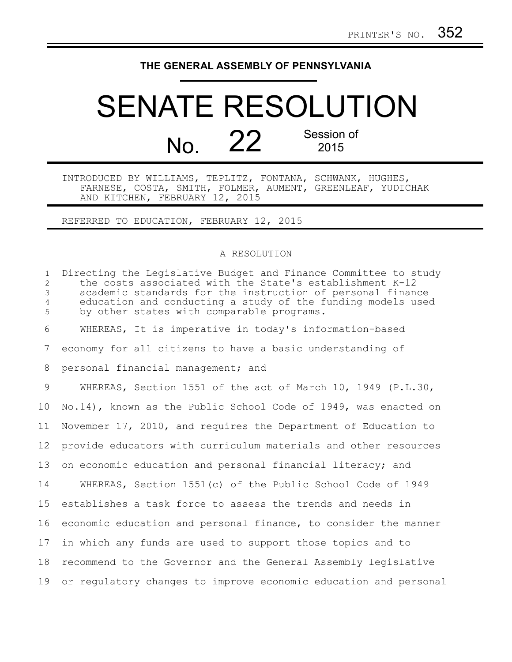## **THE GENERAL ASSEMBLY OF PENNSYLVANIA**

## SENATE RESOLUTION  $N<sub>0</sub>$  22 Session of 2015

INTRODUCED BY WILLIAMS, TEPLITZ, FONTANA, SCHWANK, HUGHES, FARNESE, COSTA, SMITH, FOLMER, AUMENT, GREENLEAF, YUDICHAK AND KITCHEN, FEBRUARY 12, 2015

REFERRED TO EDUCATION, FEBRUARY 12, 2015

## A RESOLUTION

Directing the Legislative Budget and Finance Committee to study the costs associated with the State's establishment K-12 academic standards for the instruction of personal finance education and conducting a study of the funding models used by other states with comparable programs. WHEREAS, It is imperative in today's information-based economy for all citizens to have a basic understanding of personal financial management; and WHEREAS, Section 1551 of the act of March 10, 1949 (P.L.30, No.14), known as the Public School Code of 1949, was enacted on November 17, 2010, and requires the Department of Education to provide educators with curriculum materials and other resources on economic education and personal financial literacy; and WHEREAS, Section 1551(c) of the Public School Code of 1949 establishes a task force to assess the trends and needs in economic education and personal finance, to consider the manner in which any funds are used to support those topics and to recommend to the Governor and the General Assembly legislative or regulatory changes to improve economic education and personal 191  $\mathcal{P}$ 3 4 5 6 7 8 9 10 11 12 13 14 15 16 17 18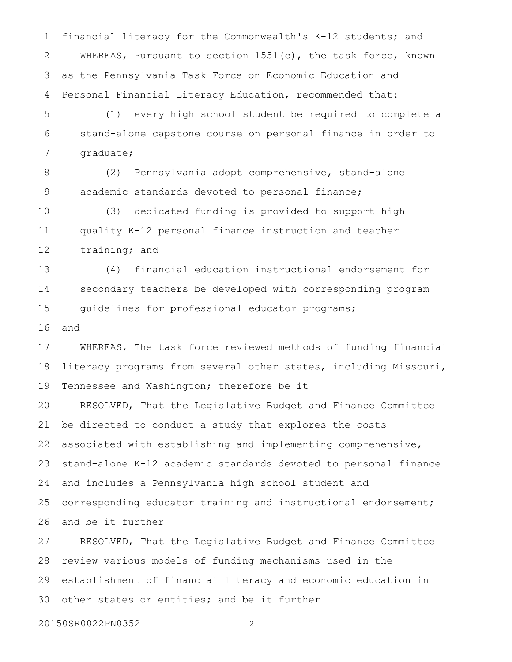financial literacy for the Commonwealth's K-12 students; and WHEREAS, Pursuant to section  $1551(c)$ , the task force, known as the Pennsylvania Task Force on Economic Education and Personal Financial Literacy Education, recommended that: 1 2 3 4

(1) every high school student be required to complete a stand-alone capstone course on personal finance in order to graduate; 5 6 7

(2) Pennsylvania adopt comprehensive, stand-alone academic standards devoted to personal finance; 8 9

(3) dedicated funding is provided to support high quality K-12 personal finance instruction and teacher training; and 10 11 12

(4) financial education instructional endorsement for secondary teachers be developed with corresponding program guidelines for professional educator programs; 13 14 15

and 16

WHEREAS, The task force reviewed methods of funding financial literacy programs from several other states, including Missouri, Tennessee and Washington; therefore be it 17 18 19

RESOLVED, That the Legislative Budget and Finance Committee be directed to conduct a study that explores the costs associated with establishing and implementing comprehensive, stand-alone K-12 academic standards devoted to personal finance and includes a Pennsylvania high school student and corresponding educator training and instructional endorsement; and be it further 20 21 22 23 24 25 26

RESOLVED, That the Legislative Budget and Finance Committee review various models of funding mechanisms used in the establishment of financial literacy and economic education in other states or entities; and be it further 27 28 29 30

20150SR0022PN0352 - 2 -